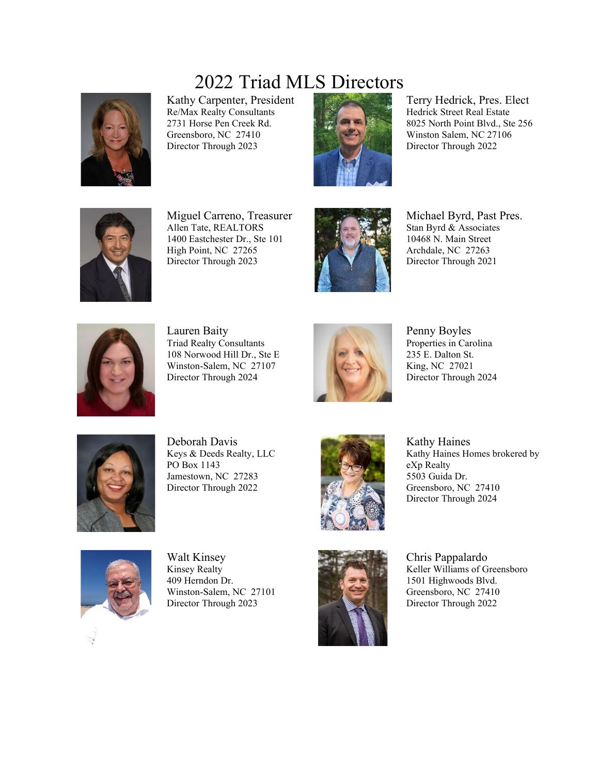## 2022 Triad MLS Directors



Kathy Carpenter, President Re/Max Realty Consultants 2731 Horse Pen Creek Rd. Greensboro, NC 27410 Director Through 2023



Terry Hedrick, Pres. Elect Hedrick Street Real Estate 8025 North Point Blvd., Ste 256 Winston Salem, NC 27106 Director Through 2022



Miguel Carreno, Treasurer Allen Tate, REALTORS 1400 Eastchester Dr., Ste 101 High Point, NC 27265 Director Through 2023



Michael Byrd, Past Pres. Stan Byrd & Associates 10468 N. Main Street Archdale, NC 27263 Director Through 2021



Lauren Baity Triad Realty Consultants 108 Norwood Hill Dr., Ste E Winston-Salem, NC 27107 Director Through 2024



Penny Boyles Properties in Carolina 235 E. Dalton St. King, NC 27021 Director Through 2024



Deborah Davis Keys & Deeds Realty, LLC PO Box 1143 Jamestown, NC 27283 Director Through 2022



Kathy Haines Kathy Haines Homes brokered by eXp Realty 5503 Guida Dr. Greensboro, NC 27410 Director Through 2024



Walt Kinsey Kinsey Realty 409 Herndon Dr. Winston-Salem, NC 27101 Director Through 2023



Chris Pappalardo Keller Williams of Greensboro 1501 Highwoods Blvd. Greensboro, NC 27410 Director Through 2022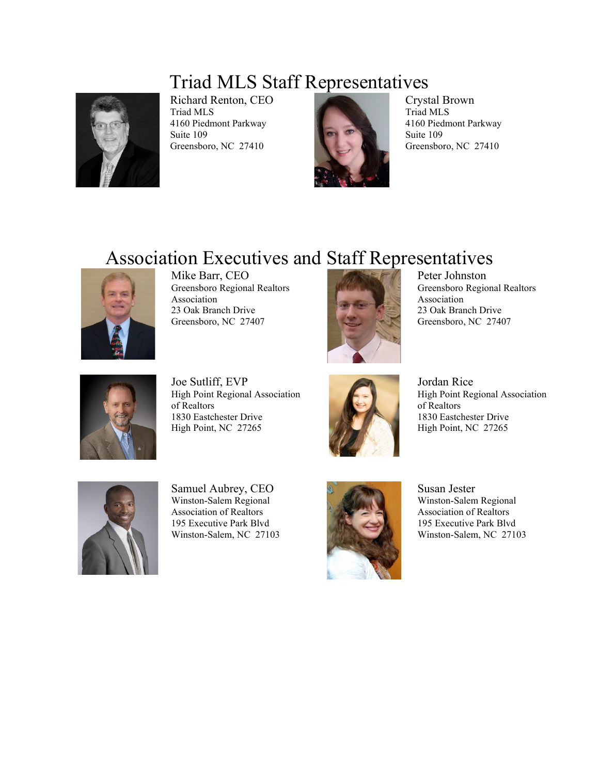## Triad MLS Staff Representatives



Richard Renton, CEO Triad MLS 4160 Piedmont Parkway Suite 109 Greensboro, NC 27410



Crystal Brown Triad MLS 4160 Piedmont Parkway Suite 109 Greensboro, NC 27410

## Association Executives and Staff Representatives



Mike Barr, CEO Greensboro Regional Realtors Association 23 Oak Branch Drive Greensboro, NC 27407



Peter Johnston Greensboro Regional Realtors Association 23 Oak Branch Drive Greensboro, NC 27407



Joe Sutliff, EVP High Point Regional Association of Realtors 1830 Eastchester Drive High Point, NC 27265



Jordan Rice High Point Regional Association of Realtors 1830 Eastchester Drive High Point, NC 27265



Samuel Aubrey, CEO Winston-Salem Regional Association of Realtors 195 Executive Park Blvd Winston-Salem, NC 27103



Susan Jester Winston-Salem Regional Association of Realtors 195 Executive Park Blvd Winston-Salem, NC 27103